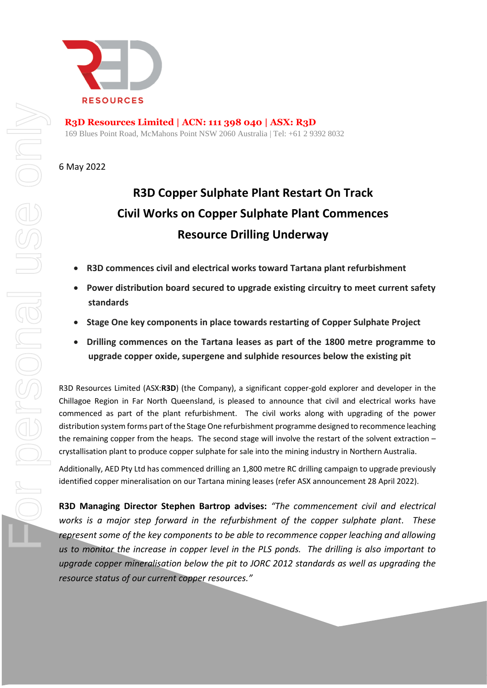

**R3D Resources Limited | ACN: 111 398 040 | ASX: R3D** 169 Blues Point Road, McMahons Point NSW 2060 Australia | Tel: +61 2 9392 8032

6 May 2022

# **R3D Copper Sulphate Plant Restart On Track Civil Works on Copper Sulphate Plant Commences Resource Drilling Underway**

- **R3D commences civil and electrical works toward Tartana plant refurbishment**
- **Power distribution board secured to upgrade existing circuitry to meet current safety standards**
- **Stage One key components in place towards restarting of Copper Sulphate Project**
- **Drilling commences on the Tartana leases as part of the 1800 metre programme to upgrade copper oxide, supergene and sulphide resources below the existing pit**

R3D Resources Limited (ASX:**R3D**) (the Company), a significant copper-gold explorer and developer in the Chillagoe Region in Far North Queensland, is pleased to announce that civil and electrical works have commenced as part of the plant refurbishment. The civil works along with upgrading of the power distribution system forms part of the Stage One refurbishment programme designed to recommence leaching the remaining copper from the heaps. The second stage will involve the restart of the solvent extraction – crystallisation plant to produce copper sulphate for sale into the mining industry in Northern Australia.

Additionally, AED Pty Ltd has commenced drilling an 1,800 metre RC drilling campaign to upgrade previously identified copper mineralisation on our Tartana mining leases (refer ASX announcement 28 April 2022).

**R3D Managing Director Stephen Bartrop advises:** *"The commencement civil and electrical works is a major step forward in the refurbishment of the copper sulphate plant. These*  represent some of the key components to be able to recommence copper leaching and allowing *us to monitor the increase in copper level in the PLS ponds. The drilling is also important to upgrade copper mineralisation below the pit to JORC 2012 standards as well as upgrading the resource status of our current copper resources."*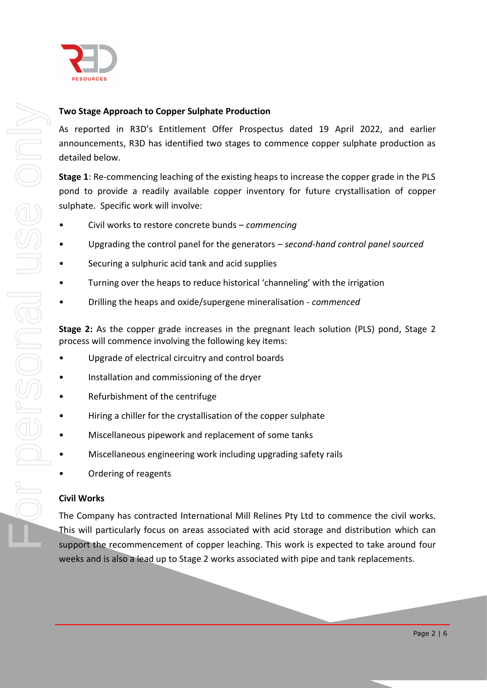

## **Two Stage Approach to Copper Sulphate Production**

As reported in R3D's Entitlement Offer Prospectus dated 19 April 2022, and earlier announcements, R3D has identified two stages to commence copper sulphate production as detailed below.

**Stage 1**: Re-commencing leaching of the existing heaps to increase the copper grade in the PLS pond to provide a readily available copper inventory for future crystallisation of copper sulphate. Specific work will involve:

- Civil works to restore concrete bunds *commencing*
- Upgrading the control panel for the generators *second-hand control panel sourced*
- Securing a sulphuric acid tank and acid supplies
- Turning over the heaps to reduce historical 'channeling' with the irrigation
- Drilling the heaps and oxide/supergene mineralisation *commenced*

**Stage 2:** As the copper grade increases in the pregnant leach solution (PLS) pond, Stage 2 process will commence involving the following key items:

- Upgrade of electrical circuitry and control boards
- Installation and commissioning of the dryer
- Refurbishment of the centrifuge
- Hiring a chiller for the crystallisation of the copper sulphate
- Miscellaneous pipework and replacement of some tanks
- Miscellaneous engineering work including upgrading safety rails
- Ordering of reagents

### **Civil Works**

The Company has contracted International Mill Relines Pty Ltd to commence the civil works. This will particularly focus on areas associated with acid storage and distribution which can support the recommencement of copper leaching. This work is expected to take around four weeks and is also a lead up to Stage 2 works associated with pipe and tank replacements.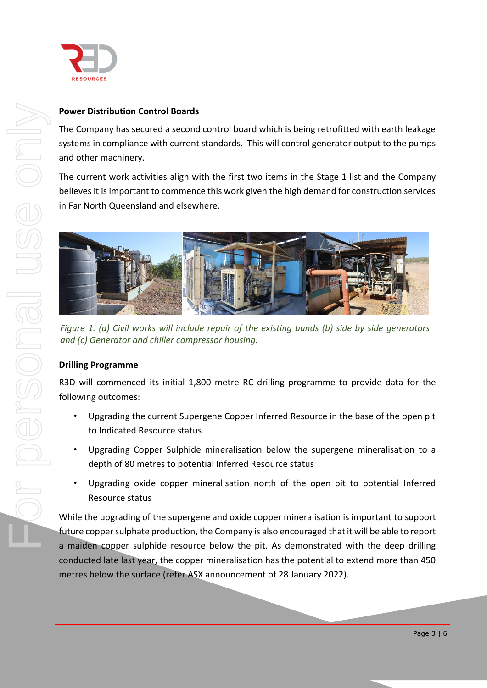

## **Power Distribution Control Boards**

The Company has secured a second control board which is being retrofitted with earth leakage systems in compliance with current standards. This will control generator output to the pumps and other machinery.

The current work activities align with the first two items in the Stage 1 list and the Company believes it is important to commence this work given the high demand for construction services in Far North Queensland and elsewhere.



*Figure 1. (a) Civil works will include repair of the existing bunds (b) side by side generators and (c) Generator and chiller compressor housing.*

## **Drilling Programme**

R3D will commenced its initial 1,800 metre RC drilling programme to provide data for the following outcomes:

- Upgrading the current Supergene Copper Inferred Resource in the base of the open pit to Indicated Resource status
- Upgrading Copper Sulphide mineralisation below the supergene mineralisation to a depth of 80 metres to potential Inferred Resource status
- Upgrading oxide copper mineralisation north of the open pit to potential Inferred Resource status

While the upgrading of the supergene and oxide copper mineralisation is important to support future copper sulphate production, the Company is also encouraged that it will be able to report a maiden copper sulphide resource below the pit. As demonstrated with the deep drilling conducted late last year, the copper mineralisation has the potential to extend more than 450 metres below the surface (refer ASX announcement of 28 January 2022).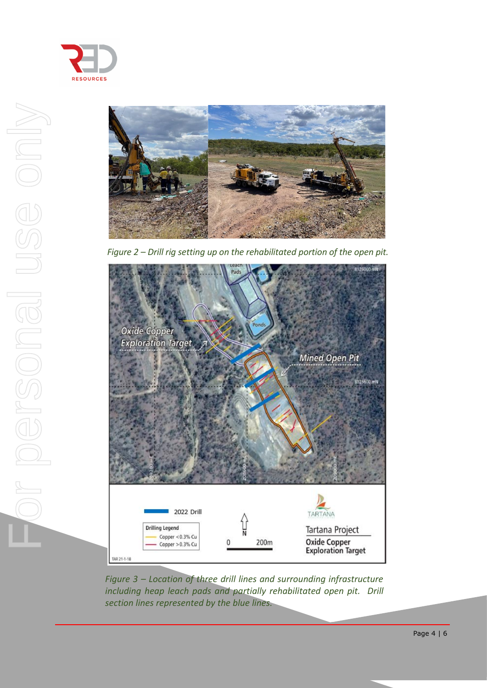



*Figure 2 – Drill rig setting up on the rehabilitated portion of the open pit.*



*Figure 3 – Location of three drill lines and surrounding infrastructure including heap leach pads and partially rehabilitated open pit. Drill section lines represented by the blue lines.*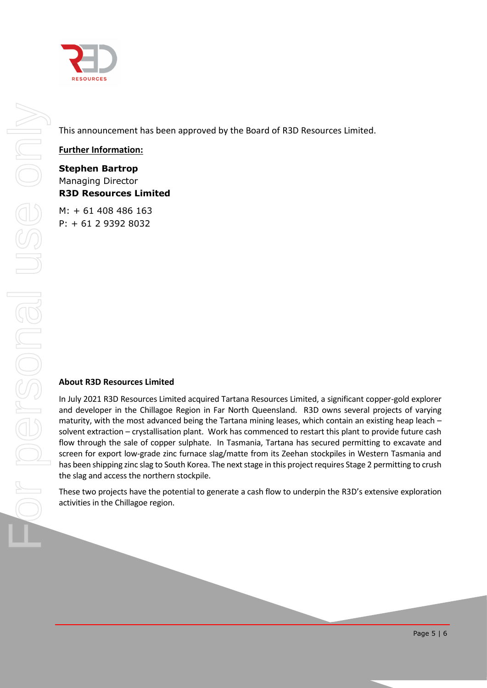

This announcement has been approved by the Board of R3D Resources Limited.

## **Further Information:**

**Stephen Bartrop** Managing Director **R3D Resources Limited**

M: + 61 408 486 163 P: + 61 2 9392 8032

### **About R3D Resources Limited**

In July 2021 R3D Resources Limited acquired Tartana Resources Limited, a significant copper-gold explorer and developer in the Chillagoe Region in Far North Queensland. R3D owns several projects of varying maturity, with the most advanced being the Tartana mining leases, which contain an existing heap leach – solvent extraction – crystallisation plant. Work has commenced to restart this plant to provide future cash flow through the sale of copper sulphate. In Tasmania, Tartana has secured permitting to excavate and screen for export low-grade zinc furnace slag/matte from its Zeehan stockpiles in Western Tasmania and has been shipping zinc slag to South Korea. The next stage in this project requires Stage 2 permitting to crush the slag and access the northern stockpile.

These two projects have the potential to generate a cash flow to underpin the R3D's extensive exploration activities in the Chillagoe region.